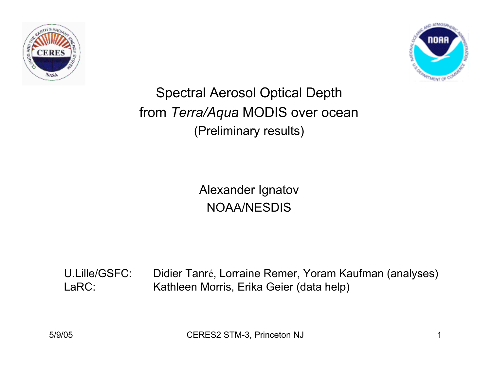



Spectral Aerosol Optical Depth from *Terra/Aqua* MODIS over ocean (Preliminary results)

> Alexander Ignatov NOAA/NESDIS

U.Lille/GSFC: Didier Tanré, Lorraine Remer, Yoram Kaufman (analyses) LaRC: Kathleen Morris, Erika Geier (data help)

5/9/05 CERES2 STM-3, Princeton NJ 1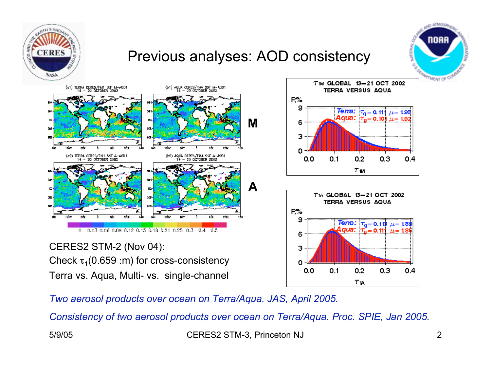

*Two aerosol products over ocean on Terra/Aqua. JAS, April 2005.*

*Consistency of two aerosol products over ocean on Terra/Aqua. Proc. SPIE, Jan 2005.*

5/9/05 CERES2 STM-3, Princeton NJ 2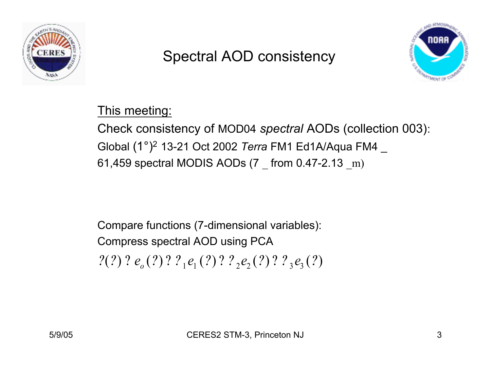

### Spectral AOD consistency



This meeting: Check consistency of MOD04 *spectral* AODs (collection 003): Global (1°)2 13-21 Oct 2002 *Terra* FM1 Ed1A/Aqua FM4 \_

61,459 spectral MODIS AODs (7 \_ from 0.47-2.13 \_m)

Compare functions (7-dimensional variables): Compress spectral AOD using PCA  $?(?) ? e<sub>o</sub>(?) ? ?<sub>1</sub>e<sub>1</sub>(?) ? ? <sub>2</sub>e<sub>2</sub>(?) ? ? <sub>3</sub>e<sub>3</sub>(?)$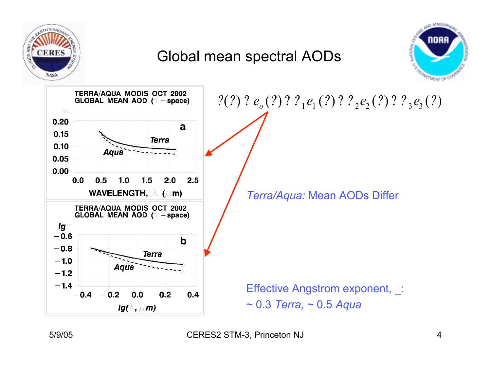

### Global mean spectral AODs



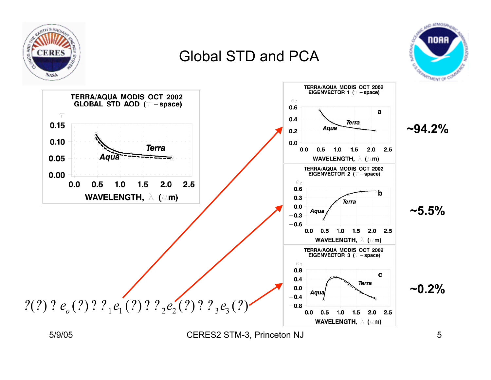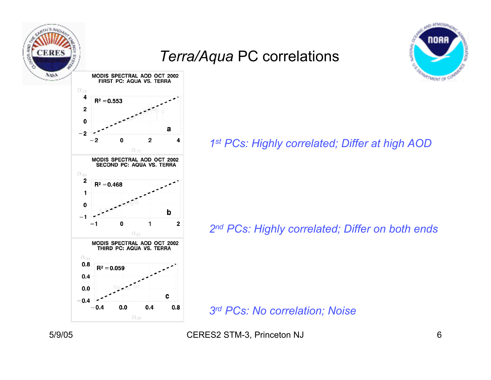

a

b

c

 $0.8$ 

 $\overline{\mathbf{c}}$ 

4

### *Terra/Aqua* PC correlations



*1st PCs: Highly correlated; Differ at high AOD*

*2nd PCs: Highly correlated; Differ on both ends*

*3rd PCs: No correlation; Noise*

5/9/05 CERES2 STM-3, Princeton NJ 6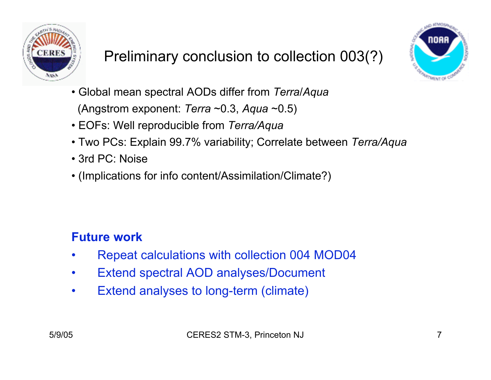

# Preliminary conclusion to collection 003(?)



- Global mean spectral AODs differ from *Terra*/*Aqua* (Angstrom exponent: *Terra* ~0.3, *Aqua* ~0.5)
- EOFs: Well reproducible from *Terra/Aqua*
- Two PCs: Explain 99.7% variability; Correlate between *Terra/Aqua*
- 3rd PC: Noise
- (Implications for info content/Assimilation/Climate?)

#### **Future work**

- Repeat calculations with collection 004 MOD04
- Extend spectral AOD analyses/Document
- Extend analyses to long-term (climate)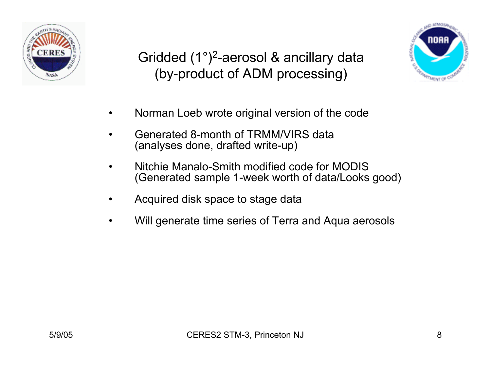

Gridded (1°)2-aerosol & ancillary data (by-product of ADM processing)



- Norman Loeb wrote original version of the code
- Generated 8-month of TRMM/VIRS data (analyses done, drafted write-up)
- Nitchie Manalo-Smith modified code for MODIS (Generated sample 1-week worth of data/Looks good)
- Acquired disk space to stage data
- Will generate time series of Terra and Aqua aerosols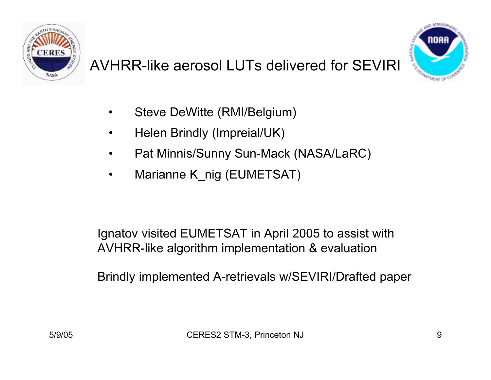

## AVHRR-like aerosol LUTs delivered for SEVIRI



- Steve DeWitte (RMI/Belgium)
- Helen Brindly (Impreial/UK)
- Pat Minnis/Sunny Sun-Mack (NASA/LaRC)
- Marianne K\_nig (EUMETSAT)

Ignatov visited EUMETSAT in April 2005 to assist with AVHRR-like algorithm implementation & evaluation

Brindly implemented A-retrievals w/SEVIRI/Drafted paper